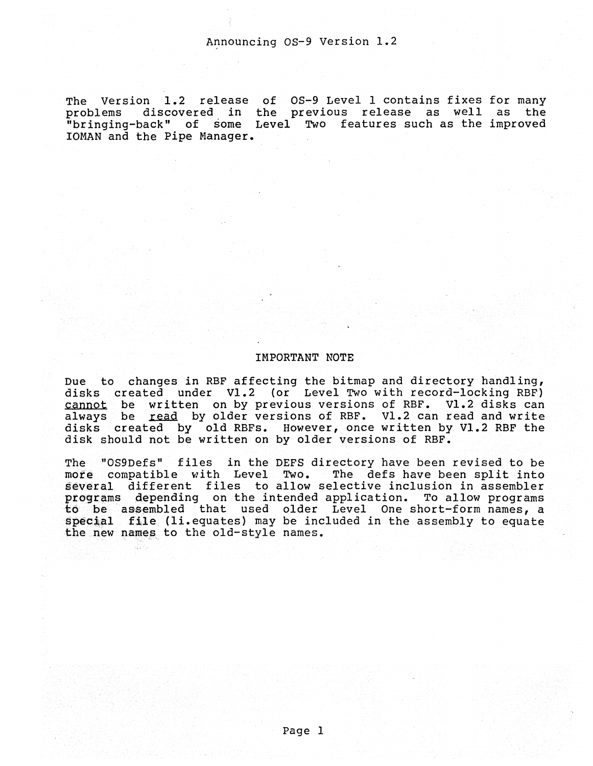The Version 1.2 release of OS-9 Level 1 contains fixes for many problems discovered in the previous release as well as the "bringing-back" of some Level Two features such as the improved lOMAN and the Pipe Manager.

# IMPORTANT NOTE

Due to changes in RBF affecting the bitmap and directory handling, disks created under Vl.2 (or Level Two with record-locking RBF) cannot be written on by previous versions of RBF. Vl.2 disks can always be read by older versions of RBF. Vl.2 can read and write disks created by old RBFs. However, once written by V1.2 RBF the disk should not be written on by older versions of RBF.

The "OS9Defs" files in the DEFS directory have been revised to be more compatible with Level Two. The defs have been split into several different files to allow selective inclusion in assembler programs depending on the intended application. To allow programs to be assembled that used older Level One short-form names, a special file (li.equates) may be included in the assembly to equate the new names to the old-style names.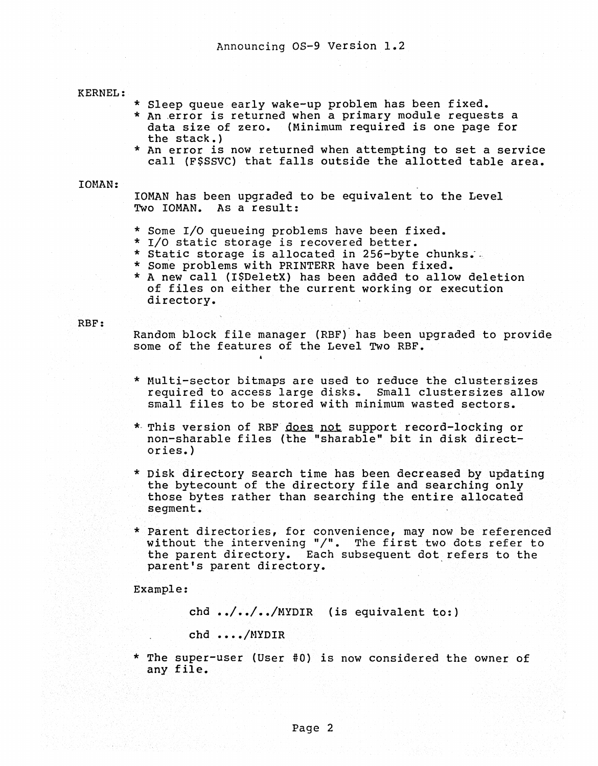# KERNEL:

- \* Sleep queue early wake-up problem has been fixed.
- \* An .error is returned when a primary module requests a data size of zero. (Minimum required is one page for<br>the stack.)
- \* An error is now returned when attempting to set a service call (F\$SSVC) that falls outside the allotted table area.

# IOHAN:

lOMAN has been upgraded to be equivalent to the Level Two lOMAN. As a result:

- \* Some I/O queueing problems have been fixed.
- 
- \* I/O static storage is recovered better.<br>\* Static storage is allocated in 256-byte chunks.
- 
- \* Some problems with PRINTERR have been fixed.<br>\* A new call (I\$DeletX) has been added to allow deletion of files on either the current working or execution directory.

# RBF:

Random block file manager (RBF)' has been upgraded to provide some of the features of the Level Two RBF.

- \* Multi-sector bitmaps are used to reduce the clustersizes required to access large disks. Small cluster sizes allow small files to be stored with minimum wasted sectors.
- \* This version of RBF does not support record-locking or non-sharable files (the "sharable" bit in disk directories.)
- \* Disk directory search time has been decreased by updating the bytecount of the directory file and searching only those bytes rather than searching the entire allocated segment.
- \* Parent directories, for convenience, may now be referenced without the intervening "/". The first two dots refer to the parent directory. Each subsequent dot refers to the parent's parent directory.

Example:

chd  $\ldots$ ,  $\ldots$ ,  $\sqrt{NYDIR}$  (is equivalent to:)

chd ..../MYDIR

\* The super-user (User #0) is now considered the owner of any file.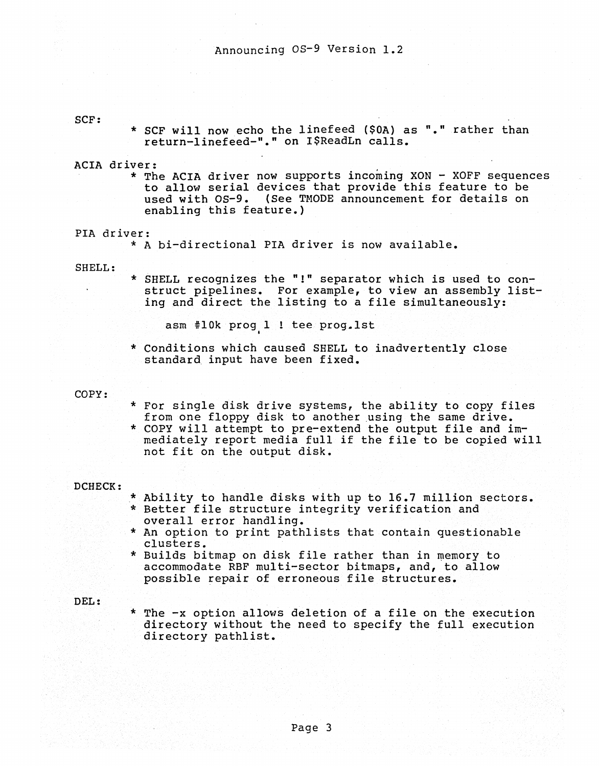# SCF:

\* SCF will now echo the linefeed (\$0A) as "." rather than return-linefeed-"." on I\$ReadLn calls.

ACIA driver:<br>\* The ACIA driver now supports incoming XON - XOFF sequences to allow serial devices that provide this feature to be used with OS-9. (See TMODE announcement for details on enabling this feature.)

# PIA driver:

\* A bi-directional PIA driver is now available.

#### SHELL:

\* SHELL recognizes the "!" separator which is used to construct pipelines. For example, to view an assembly listing and direct the listing to a file simultaneously:

asm #10k prog 1 ! tee prog. 1st

\* Conditions which caused SHELL to inadvertently close standard input have been fixed.

### COPY:

- \* For single disk drive systems, the ability to copy files from one floppy disk to another using the same drive.<br>\* COPY will attempt to pre-extend the output file and im-
- mediately report media full if the file to be copied will not fit on the output disk.

# DCHECK:

- 
- \* Ability to handle disks with up to 16.7 million sectors.<br>\* Better file structure integrity verification and<br>overall error handling.
- \* An option to print pathlists that contain questionable clusters.
- \* Builds bitmap on disk file rather than in memory to accommodate RBF multi-sector bitmaps, and, to allow possible repair of erroneous file structures.

### DEL:

• The -x option allows deletion of a file on the execution directory without the need to specify the full execution directory pathlist.